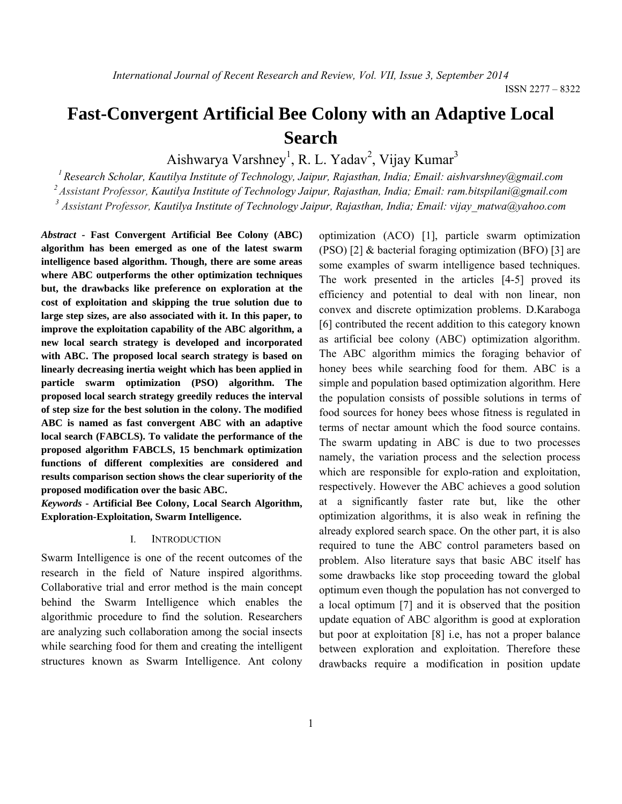# **Fast-Convergent Artificial Bee Colony with an Adaptive Local Search**

Aishwarya Varshney<sup>1</sup>, R. L. Yadav<sup>2</sup>, Vijay Kumar<sup>3</sup>

*1 Research Scholar, Kautilya Institute of Technology, Jaipur, Rajasthan, India; Email: aishvarshney@gmail.com* 

*2 Assistant Professor, Kautilya Institute of Technology Jaipur, Rajasthan, India; Email: ram.bitspilani@gmail.com* 

*3 Assistant Professor, Kautilya Institute of Technology Jaipur, Rajasthan, India; Email: vijay\_matwa@yahoo.com* 

*Abstract -* **Fast Convergent Artificial Bee Colony (ABC) algorithm has been emerged as one of the latest swarm intelligence based algorithm. Though, there are some areas where ABC outperforms the other optimization techniques but, the drawbacks like preference on exploration at the cost of exploitation and skipping the true solution due to large step sizes, are also associated with it. In this paper, to improve the exploitation capability of the ABC algorithm, a new local search strategy is developed and incorporated with ABC. The proposed local search strategy is based on linearly decreasing inertia weight which has been applied in particle swarm optimization (PSO) algorithm. The proposed local search strategy greedily reduces the interval of step size for the best solution in the colony. The modified ABC is named as fast convergent ABC with an adaptive local search (FABCLS). To validate the performance of the proposed algorithm FABCLS, 15 benchmark optimization functions of different complexities are considered and results comparison section shows the clear superiority of the proposed modification over the basic ABC.** 

*Keywords -* **Artificial Bee Colony, Local Search Algorithm, Exploration-Exploitation, Swarm Intelligence.** 

### I. INTRODUCTION

Swarm Intelligence is one of the recent outcomes of the research in the field of Nature inspired algorithms. Collaborative trial and error method is the main concept behind the Swarm Intelligence which enables the algorithmic procedure to find the solution. Researchers are analyzing such collaboration among the social insects while searching food for them and creating the intelligent structures known as Swarm Intelligence. Ant colony optimization (ACO) [1], particle swarm optimization (PSO) [2] & bacterial foraging optimization (BFO) [3] are some examples of swarm intelligence based techniques. The work presented in the articles [4-5] proved its efficiency and potential to deal with non linear, non convex and discrete optimization problems. D.Karaboga [6] contributed the recent addition to this category known as artificial bee colony (ABC) optimization algorithm. The ABC algorithm mimics the foraging behavior of honey bees while searching food for them. ABC is a simple and population based optimization algorithm. Here the population consists of possible solutions in terms of food sources for honey bees whose fitness is regulated in terms of nectar amount which the food source contains. The swarm updating in ABC is due to two processes namely, the variation process and the selection process which are responsible for explo-ration and exploitation, respectively. However the ABC achieves a good solution at a significantly faster rate but, like the other optimization algorithms, it is also weak in refining the already explored search space. On the other part, it is also required to tune the ABC control parameters based on problem. Also literature says that basic ABC itself has some drawbacks like stop proceeding toward the global optimum even though the population has not converged to a local optimum [7] and it is observed that the position update equation of ABC algorithm is good at exploration but poor at exploitation [8] i.e, has not a proper balance between exploration and exploitation. Therefore these drawbacks require a modification in position update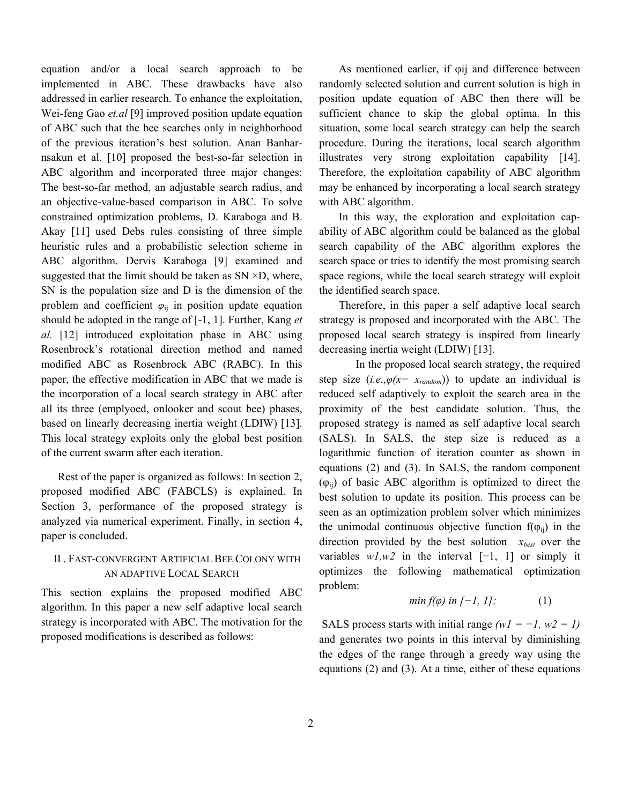equation and/or a local search approach to be implemented in ABC. These drawbacks have also addressed in earlier research. To enhance the exploitation, Wei-feng Gao *et.al* [9] improved position update equation of ABC such that the bee searches only in neighborhood of the previous iteration's best solution. Anan Banharnsakun et al. [10] proposed the best-so-far selection in ABC algorithm and incorporated three major changes: The best-so-far method, an adjustable search radius, and an objective-value-based comparison in ABC. To solve constrained optimization problems, D. Karaboga and B. Akay [11] used Debs rules consisting of three simple heuristic rules and a probabilistic selection scheme in ABC algorithm. Dervis Karaboga [9] examined and suggested that the limit should be taken as  $SN \times D$ , where, SN is the population size and D is the dimension of the problem and coefficient  $\varphi_{ij}$  in position update equation should be adopted in the range of [-1, 1]. Further, Kang *et al.* [12] introduced exploitation phase in ABC using Rosenbrock's rotational direction method and named modified ABC as Rosenbrock ABC (RABC). In this paper, the effective modification in ABC that we made is the incorporation of a local search strategy in ABC after all its three (emplyoed, onlooker and scout bee) phases, based on linearly decreasing inertia weight (LDIW) [13]. This local strategy exploits only the global best position of the current swarm after each iteration.

 Rest of the paper is organized as follows: In section 2, proposed modified ABC (FABCLS) is explained. In Section 3, performance of the proposed strategy is analyzed via numerical experiment. Finally, in section 4, paper is concluded.

### II . FAST-CONVERGENT ARTIFICIAL BEE COLONY WITH AN ADAPTIVE LOCAL SEARCH

This section explains the proposed modified ABC algorithm. In this paper a new self adaptive local search strategy is incorporated with ABC. The motivation for the proposed modifications is described as follows:

As mentioned earlier, if  $\phi$ ij and difference between randomly selected solution and current solution is high in position update equation of ABC then there will be sufficient chance to skip the global optima. In this situation, some local search strategy can help the search procedure. During the iterations, local search algorithm illustrates very strong exploitation capability [14]. Therefore, the exploitation capability of ABC algorithm may be enhanced by incorporating a local search strategy with ABC algorithm.

 In this way, the exploration and exploitation capability of ABC algorithm could be balanced as the global search capability of the ABC algorithm explores the search space or tries to identify the most promising search space regions, while the local search strategy will exploit the identified search space.

 Therefore, in this paper a self adaptive local search strategy is proposed and incorporated with the ABC. The proposed local search strategy is inspired from linearly decreasing inertia weight (LDIW) [13].

In the proposed local search strategy, the required step size  $(i.e., \varphi(x - x_{random}))$  to update an individual is reduced self adaptively to exploit the search area in the proximity of the best candidate solution. Thus, the proposed strategy is named as self adaptive local search (SALS). In SALS, the step size is reduced as a logarithmic function of iteration counter as shown in equations (2) and (3). In SALS, the random component  $(\varphi_{ii})$  of basic ABC algorithm is optimized to direct the best solution to update its position. This process can be seen as an optimization problem solver which minimizes the unimodal continuous objective function  $f(\varphi_{ii})$  in the direction provided by the best solution *xbest* over the variables  $w/sw2$  in the interval  $[-1, 1]$  or simply it optimizes the following mathematical optimization problem:

$$
min f(\varphi) \text{ in } [-1, 1]; \tag{1}
$$

SALS process starts with initial range  $(wI = -I, w2 = I)$ and generates two points in this interval by diminishing the edges of the range through a greedy way using the equations (2) and (3). At a time, either of these equations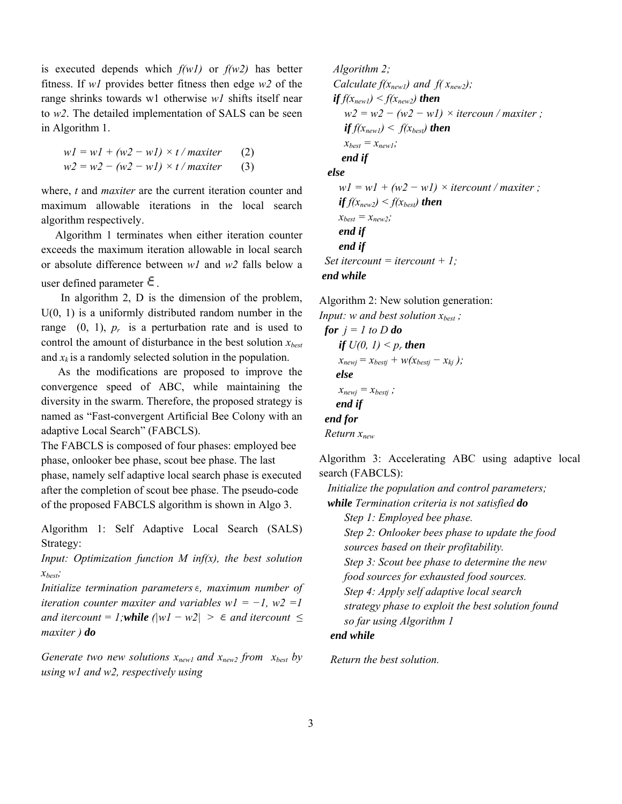is executed depends which *f(w1)* or *f(w2)* has better fitness. If *w1* provides better fitness then edge *w2* of the range shrinks towards w1 otherwise *w1* shifts itself near to *w2*. The detailed implementation of SALS can be seen in Algorithm 1.

$$
w1 = w1 + (w2 - w1) \times t / \text{maxiter} \qquad (2)
$$
  

$$
w2 = w2 - (w2 - w1) \times t / \text{maxiter} \qquad (3)
$$

where, *t* and *maxiter* are the current iteration counter and maximum allowable iterations in the local search algorithm respectively.

 Algorithm 1 terminates when either iteration counter exceeds the maximum iteration allowable in local search or absolute difference between *w1* and *w2* falls below a user defined parameter  $\epsilon$ .

 In algorithm 2, D is the dimension of the problem,  $U(0, 1)$  is a uniformly distributed random number in the range  $(0, 1)$ ,  $p_r$  is a perturbation rate and is used to control the amount of disturbance in the best solution *xbest* and  $x_k$  is a randomly selected solution in the population.

 As the modifications are proposed to improve the convergence speed of ABC, while maintaining the diversity in the swarm. Therefore, the proposed strategy is named as "Fast-convergent Artificial Bee Colony with an adaptive Local Search" (FABCLS).

The FABCLS is composed of four phases: employed bee phase, onlooker bee phase, scout bee phase. The last phase, namely self adaptive local search phase is executed after the completion of scout bee phase. The pseudo-code of the proposed FABCLS algorithm is shown in Algo 3.

Algorithm 1: Self Adaptive Local Search (SALS) Strategy:

*Input: Optimization function M inf(x), the best solution xbest;* 

*Initialize termination parameters , maximum number of iteration counter maxiter and variables w1* =  $-I$ , *w2 =1 and itercount = 1;while*  $(|wI - w2| > \epsilon$  *and itercount ≤ maxiter ) do*

*Generate two new solutions*  $x_{new1}$  and  $x_{new2}$  from  $x_{best}$  by *using w1 and w2, respectively using* 

 *Algorithm 2; Calculate*  $f(x_{new1})$  *and*  $f(x_{new2})$ *;*  $if f(x_{new1}) < f(x_{new2})$  *then*  $w2 = w2 - (w2 - w1) \times$  *itercoun* / *maxiter* ;  $if f(x_{newl}) < f(x_{best})$  *then*  $x_{best} = x_{new1}$ ;  *end if else*   $wI = wI + (w2 - wI) \times itercount / maxiter ;$ *if*  $f(x_{new2}) < f(x_{best})$  *then*  $x_{best} = x_{new2}$ ;  *end if end if Set itercount = itercount + 1; end while* 

Algorithm 2: New solution generation:

*Input: w and best solution*  $x_{best}$ *; for*  $j = l$  *to*  $D$  *do if*  $U(0, 1) \leq p_r$  *then*  $x_{newj} = x_{bestj} + w(x_{bestj} - x_{ki})$ ;  *else*   $x_{newj} = x_{bestj}$ ;  *end if end for Return xnew* 

Algorithm 3: Accelerating ABC using adaptive local search (FABCLS):

 *Initialize the population and control parameters; while Termination criteria is not satisfied do*

 *Step 1: Employed bee phase.* 

 *Step 2: Onlooker bees phase to update the food sources based on their profitability.* 

 *Step 3: Scout bee phase to determine the new* 

 *food sources for exhausted food sources.* 

 *Step 4: Apply self adaptive local search strategy phase to exploit the best solution found* 

 *so far using Algorithm 1* 

### *end while*

 *Return the best solution.*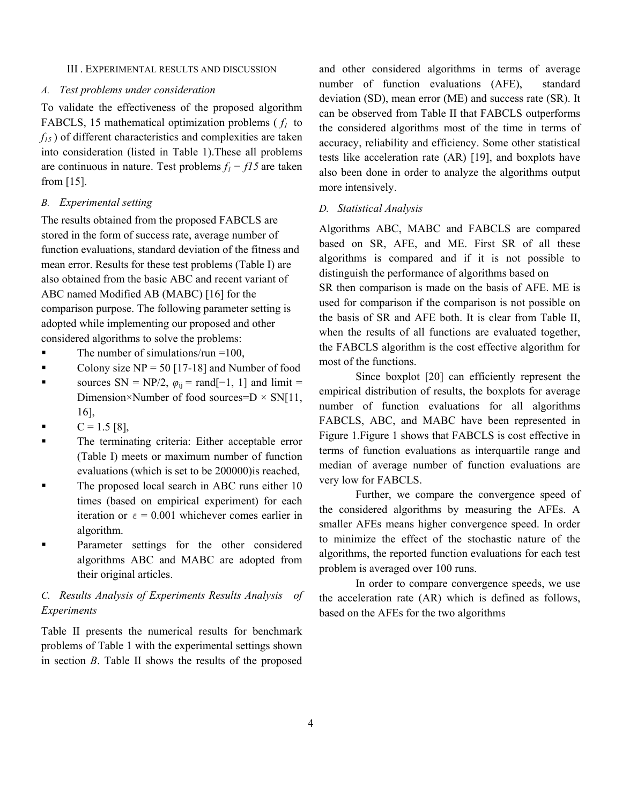#### III . EXPERIMENTAL RESULTS AND DISCUSSION

#### *A. Test problems under consideration*

To validate the effectiveness of the proposed algorithm FABCLS, 15 mathematical optimization problems ( *f1* to *f15* ) of different characteristics and complexities are taken into consideration (listed in Table 1).These all problems are continuous in nature. Test problems *f1 − f15* are taken from [15].

#### *B. Experimental setting*

The results obtained from the proposed FABCLS are stored in the form of success rate, average number of function evaluations, standard deviation of the fitness and mean error. Results for these test problems (Table I) are also obtained from the basic ABC and recent variant of ABC named Modified AB (MABC) [16] for the comparison purpose. The following parameter setting is adopted while implementing our proposed and other considered algorithms to solve the problems:

- The number of simulations/run  $=100$ ,
- Colony size  $NP = 50$  [17-18] and Number of food
- **sources** SN = NP/2,  $\varphi_{ij}$  = rand[−1, 1] and limit = Dimension×Number of food sources= $D \times SN[11]$ , 16],
- $C = 1.5$  [8],
- The terminating criteria: Either acceptable error (Table I) meets or maximum number of function evaluations (which is set to be 200000)is reached,
- The proposed local search in ABC runs either 10 times (based on empirical experiment) for each iteration or  $\varepsilon = 0.001$  whichever comes earlier in algorithm.
- Parameter settings for the other considered algorithms ABC and MABC are adopted from their original articles.

### *C. Results Analysis of Experiments Results Analysis of Experiments*

Table II presents the numerical results for benchmark problems of Table 1 with the experimental settings shown in section *B*. Table II shows the results of the proposed and other considered algorithms in terms of average number of function evaluations (AFE), standard deviation (SD), mean error (ME) and success rate (SR). It can be observed from Table II that FABCLS outperforms the considered algorithms most of the time in terms of accuracy, reliability and efficiency. Some other statistical tests like acceleration rate (AR) [19], and boxplots have also been done in order to analyze the algorithms output more intensively.

### *D. Statistical Analysis*

Algorithms ABC, MABC and FABCLS are compared based on SR, AFE, and ME. First SR of all these algorithms is compared and if it is not possible to distinguish the performance of algorithms based on SR then comparison is made on the basis of AFE. ME is used for comparison if the comparison is not possible on the basis of SR and AFE both. It is clear from Table II, when the results of all functions are evaluated together, the FABCLS algorithm is the cost effective algorithm for most of the functions.

Since boxplot [20] can efficiently represent the empirical distribution of results, the boxplots for average number of function evaluations for all algorithms FABCLS, ABC, and MABC have been represented in Figure 1.Figure 1 shows that FABCLS is cost effective in terms of function evaluations as interquartile range and median of average number of function evaluations are very low for FABCLS.

Further, we compare the convergence speed of the considered algorithms by measuring the AFEs. A smaller AFEs means higher convergence speed. In order to minimize the effect of the stochastic nature of the algorithms, the reported function evaluations for each test problem is averaged over 100 runs.

In order to compare convergence speeds, we use the acceleration rate (AR) which is defined as follows, based on the AFEs for the two algorithms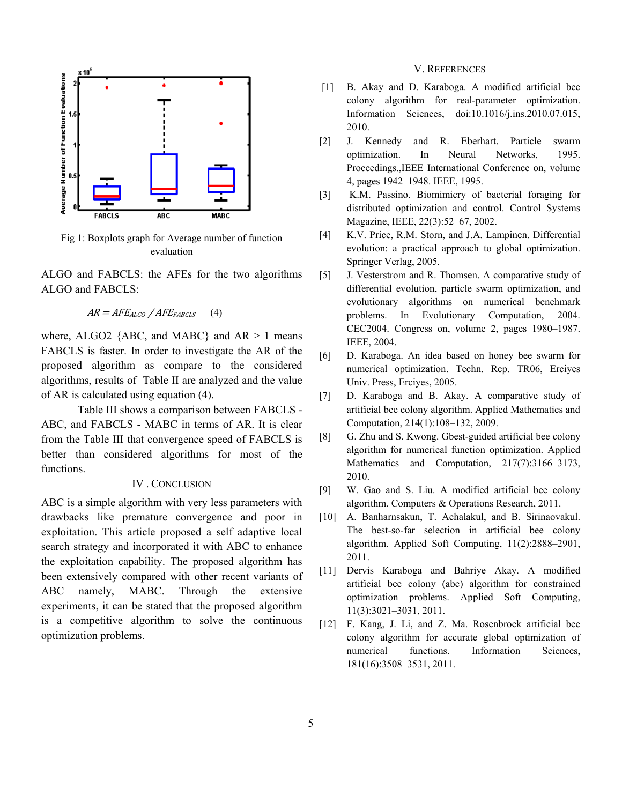

Fig 1: Boxplots graph for Average number of function evaluation

ALGO and FABCLS: the AFEs for the two algorithms ALGO and FABCLS:

```
AR = AFE_{ALGO} / AFE_{FABCLS} (4)
```
where, ALGO2  ${ABC}$ , and MABC} and AR > 1 means FABCLS is faster. In order to investigate the AR of the proposed algorithm as compare to the considered algorithms, results of Table II are analyzed and the value of AR is calculated using equation (4).

Table III shows a comparison between FABCLS - ABC, and FABCLS - MABC in terms of AR. It is clear from the Table III that convergence speed of FABCLS is better than considered algorithms for most of the functions.

### IV . CONCLUSION

ABC is a simple algorithm with very less parameters with drawbacks like premature convergence and poor in exploitation. This article proposed a self adaptive local search strategy and incorporated it with ABC to enhance the exploitation capability. The proposed algorithm has been extensively compared with other recent variants of ABC namely, MABC. Through the extensive experiments, it can be stated that the proposed algorithm is a competitive algorithm to solve the continuous optimization problems.

### V. REFERENCES

- [1] B. Akay and D. Karaboga. A modified artificial bee colony algorithm for real-parameter optimization. Information Sciences, doi:10.1016/j.ins.2010.07.015, 2010.
- [2] J. Kennedy and R. Eberhart. Particle swarm optimization. In Neural Networks, 1995. Proceedings.,IEEE International Conference on, volume 4, pages 1942–1948. IEEE, 1995.
- [3] K.M. Passino. Biomimicry of bacterial foraging for distributed optimization and control. Control Systems Magazine, IEEE, 22(3):52–67, 2002.
- [4] K.V. Price, R.M. Storn, and J.A. Lampinen. Differential evolution: a practical approach to global optimization. Springer Verlag, 2005.
- [5] J. Vesterstrom and R. Thomsen. A comparative study of differential evolution, particle swarm optimization, and evolutionary algorithms on numerical benchmark problems. In Evolutionary Computation, 2004. CEC2004. Congress on, volume 2, pages 1980–1987. IEEE, 2004.
- [6] D. Karaboga. An idea based on honey bee swarm for numerical optimization. Techn. Rep. TR06, Erciyes Univ. Press, Erciyes, 2005.
- [7] D. Karaboga and B. Akay. A comparative study of artificial bee colony algorithm. Applied Mathematics and Computation, 214(1):108–132, 2009.
- [8] G. Zhu and S. Kwong. Gbest-guided artificial bee colony algorithm for numerical function optimization. Applied Mathematics and Computation, 217(7):3166–3173, 2010.
- [9] W. Gao and S. Liu. A modified artificial bee colony algorithm. Computers & Operations Research, 2011.
- [10] A. Banharnsakun, T. Achalakul, and B. Sirinaovakul. The best-so-far selection in artificial bee colony algorithm. Applied Soft Computing, 11(2):2888–2901, 2011.
- [11] Dervis Karaboga and Bahriye Akay. A modified artificial bee colony (abc) algorithm for constrained optimization problems. Applied Soft Computing, 11(3):3021–3031, 2011.
- [12] F. Kang, J. Li, and Z. Ma. Rosenbrock artificial bee colony algorithm for accurate global optimization of numerical functions. Information Sciences, 181(16):3508–3531, 2011.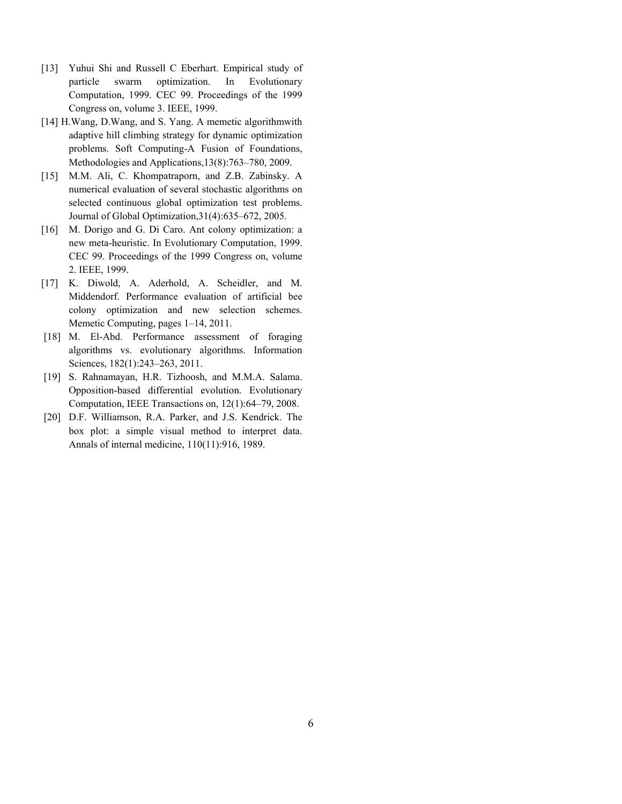- [13] Yuhui Shi and Russell C Eberhart. Empirical study of particle swarm optimization. In Evolutionary Computation, 1999. CEC 99. Proceedings of the 1999 Congress on, volume 3. IEEE, 1999.
- [14] H.Wang, D.Wang, and S. Yang. A memetic algorithmwith adaptive hill climbing strategy for dynamic optimization problems. Soft Computing-A Fusion of Foundations, Methodologies and Applications,13(8):763–780, 2009.
- [15] M.M. Ali, C. Khompatraporn, and Z.B. Zabinsky. A numerical evaluation of several stochastic algorithms on selected continuous global optimization test problems. Journal of Global Optimization,31(4):635–672, 2005.
- [16] M. Dorigo and G. Di Caro. Ant colony optimization: a new meta-heuristic. In Evolutionary Computation, 1999. CEC 99. Proceedings of the 1999 Congress on, volume 2. IEEE, 1999.
- [17] K. Diwold, A. Aderhold, A. Scheidler, and M. Middendorf. Performance evaluation of artificial bee colony optimization and new selection schemes. Memetic Computing, pages 1–14, 2011.
- [18] M. El-Abd. Performance assessment of foraging algorithms vs. evolutionary algorithms. Information Sciences, 182(1):243–263, 2011.
- [19] S. Rahnamayan, H.R. Tizhoosh, and M.M.A. Salama. Opposition-based differential evolution. Evolutionary Computation, IEEE Transactions on, 12(1):64–79, 2008.
- [20] D.F. Williamson, R.A. Parker, and J.S. Kendrick. The box plot: a simple visual method to interpret data. Annals of internal medicine, 110(11):916, 1989.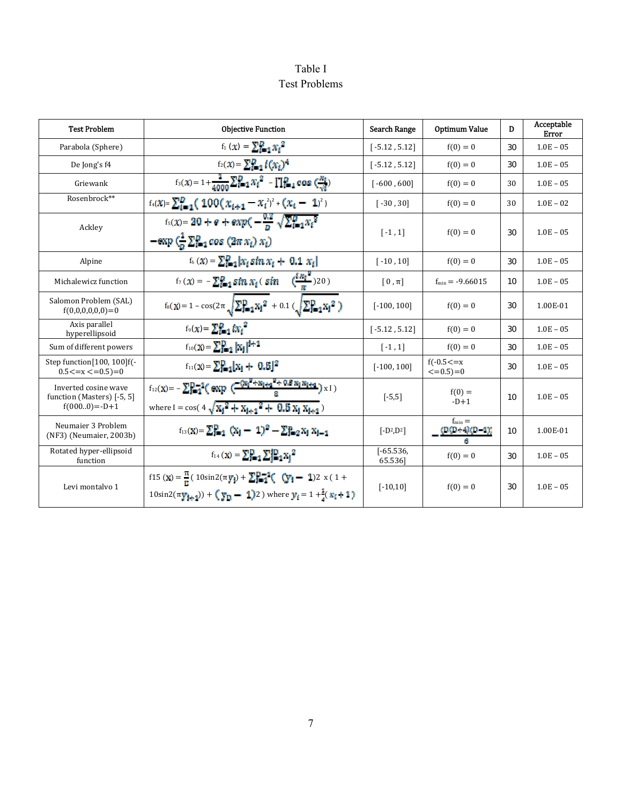# Table I Test Problems

| <b>Test Problem</b>                                                       | <b>Objective Function</b>                                                                                                                                                                              | <b>Search Range</b>    | <b>Optimum Value</b>              | D  | Acceptable<br>Error |
|---------------------------------------------------------------------------|--------------------------------------------------------------------------------------------------------------------------------------------------------------------------------------------------------|------------------------|-----------------------------------|----|---------------------|
| Parabola (Sphere)                                                         | $f_1(x) = \sum_{i=1}^{n} x_i^2$                                                                                                                                                                        | $[-5.12, 5.12]$        | $f(0) = 0$                        | 30 | $1.0E - 05$         |
| De Jong's f4                                                              | $f_2(x) = \sum_{i=1}^{n} l(x_i)^4$                                                                                                                                                                     | $[-5.12, 5.12]$        | $f(0) = 0$                        | 30 | $1.0E - 05$         |
| Griewank                                                                  | $\sqrt{f_3(x)} = 1 + \frac{1}{4000} \sum_{k=1}^{D} x_k^2 - \prod_{k=1}^{D} \cos \left( \frac{m_k}{\sqrt{k}} \right)$                                                                                   | $[-600, 600]$          | $f(0) = 0$                        | 30 | $1.0E - 05$         |
| Rosenbrock**                                                              | $f_4(x) = \sum_{i=1}^{D} (100(x_{i+1} - x_i^2)^2 + (x_i - 1)^2)$                                                                                                                                       | $[-30, 30]$            | $f(0) = 0$                        | 30 | $1.0E - 02$         |
| Ackley                                                                    | $f_5(x) = 20 + e + exp(-\frac{0.2}{8}\sqrt{\sum_{i=1}^{D}x_i^2})$<br>$-\exp\left(\frac{1}{2}\sum_{i=1}^{n} \cos\left(2\pi x_i\right) x_i\right)$                                                       | $[-1, 1]$              | $f(0) = 0$                        | 30 | $1.0E - 05$         |
| Alpine                                                                    | $f_6(x) = \sum_{i=1}^{D}  x_i \sin x_i + 0.1 x_i $                                                                                                                                                     | $[-10, 10]$            | $f(0) = 0$                        | 30 | $1.0E - 05$         |
| Michalewicz function                                                      | $f_7(x) = -\sum_{i=1}^{n} \sin x_i (\sin \left( \frac{\sin \left( \frac{\pi x_i}{n} \right)}{n} \right) 20)$                                                                                           | $[0,\pi]$              | $f_{min} = -9.66015$              | 10 | $1.0E - 05$         |
| Salomon Problem (SAL)<br>$f(0,0,0,0,0,0)=0$                               | $f_8(X) = 1 - \cos(2\pi \sqrt{\sum_{i=1}^{D} x_i^2 + 0.1 (\sqrt{\sum_{i=1}^{D} x_i^2})})$                                                                                                              | $[-100, 100]$          | $f(0) = 0$                        | 30 | 1.00E-01            |
| Axis parallel<br>hyperellipsoid                                           | $f_9(x) = \sum_{i=1}^{n} kx_i^2$                                                                                                                                                                       | $[-5.12, 5.12]$        | $f(0) = 0$                        | 30 | $1.0E - 05$         |
| Sum of different powers                                                   | $f_{10}(X) = \sum_{i=1}^{n}  X_i ^{i+1}$                                                                                                                                                               | $[-1, 1]$              | $f(0) = 0$                        | 30 | $1.0E - 05$         |
| Step function [100, 100] f(-<br>$0.5 \le x \le 0.5 = 0$                   | $f_{11}(x) = \sum_{i=1}^{n}  x_i  + 0.5 ^2$                                                                                                                                                            | $[-100, 100]$          | $f(-0.5 \le x)$<br>$\leq=0.5$ )=0 | 30 | $1.0E - 05$         |
| Inverted cosine wave<br>function (Masters) [-5, 5]<br>$f(000.0) = -D + 1$ | $f_{12}(X) = -\sum_{i=1}^{n} 1 \left( \exp \left( \frac{-\left( x_i \right)^2 + x_i + a_i^2 + 0.8 x_i x_i + a_i \right)}{a} x \right)$<br>where I = cos( $4\sqrt{x_1^2 + x_{1+1}^2 + 0.5x_1x_{1+1}}$ ) | $[-5,5]$               | $f(0) =$<br>$-D+1$                | 10 | $1.0E - 05$         |
| Neumaier 3 Problem<br>(NF3) (Neumaier, 2003b)                             | $f_{13}(x) = \sum_{i=1}^{n} (x_i - 1)^2 - \sum_{i=2}^{n} x_i x_{i-1}$                                                                                                                                  | $[-D^2, D^2]$          | $f_{\min} =$<br>(D(D+4)(D-4)      | 10 | 1.00E-01            |
| Rotated hyper-ellipsoid<br>function                                       | $f_{14}(x) = \sum_{i=1}^{n} \sum_{i=1}^{n} x_i^2$                                                                                                                                                      | $[-65.536,$<br>65.5361 | $f(0) = 0$                        | 30 | $1.0E - 05$         |
| Levi montalvo 1                                                           | f15 (x) = $\frac{\pi}{n}$ (10sin2(πy <sub>i</sub> ) + $\sum_{i=1}^{\infty}$ <sup>1</sup> ( (y <sub>i</sub> - 1)2 x (1+<br>$10\sin 2(\pi y_{1+1}) + (y_D - 1)2$ where $y_t = 1 + \frac{1}{2}(x_t + 1)$  | $[-10, 10]$            | $f(0) = 0$                        | 30 | $1.0E - 05$         |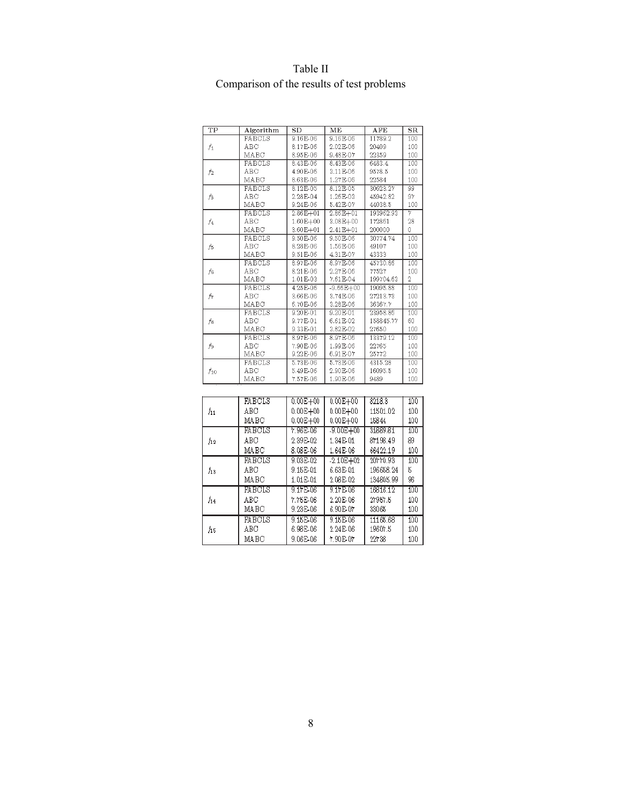| TP             | Algorithm     | SD           | ME            | $\overline{\text{AFE}}$ | $_{\rm SR}$ |
|----------------|---------------|--------------|---------------|-------------------------|-------------|
|                | FABCLS        | 9.16E-06     | 9.16E-06      | 11789.2                 | 100         |
| $f_1$          | ABC           | 8.17E-06     | 2.02E-06      | 20409                   | 100         |
|                | MABC          | 8.95E-06     | 9.48E-07      | 22359                   | 100         |
|                | FABCLS        | 8.43E-06     | 8.43E-06      | 6483.4                  | 100         |
| f <sub>2</sub> | ABC           | 4.90E-06     | 3.11E-06      | 9578.5                  | 100         |
|                | MABC          | 8.63E-06     | 1.27E-06      | 22584                   | 100         |
|                | FABCLS        | 8.12E-05     | 8.12E-05      | 30623.27                | 99          |
| fз             | ABC           | 2.28E-04     | 1.26E-03      | 45942.82                | 97          |
|                | MABC          | 9.24E-06     | 5.42E-07      | 44038.5                 | 100         |
|                | FABCLS        | $2.86E + 01$ | $2.86E + 01$  | 193962.93               | 7           |
| f4             | ABC           | 1.60E+00     | 3.08E+00      | 172861                  | 28          |
|                | MABC          | 3.60E+01     | 2.41E+01      | 200000                  | 0           |
|                | FABCLS        | 9.50E-06     | 9.50E-06      | 30774.74                | 100         |
| Ĵ5             | ABC           | 8.28E-06     | 1.56E-06      | 49107                   | 100         |
|                | MABC          | 9.51E-06     | 4.31E-07      | 43333                   | 100         |
|                | FABCLS        | 8.97E-06     | 8.97E-06      | 45730.86                | 100         |
| Ĵε             | ARC           | 8.21E-06     | 2.27F-06      | 77527                   | 100         |
|                | MABC          | 1.01E-03     | 7.61E-04      | 199704.63               | 2           |
|                | FABCLS        | 4.25E-06     | $-9.66E + 00$ | 19095.88                | 100         |
| ĥ              | ABC           | 3.66E-06     | 3.74E-06      | 27213.73                | 100         |
|                | MABC          | 6.70E-06     | 3.28E-06      | 36367.7                 | 100         |
|                | FABCLS        | $9.20E-01$   | 9.20E-01      | 23958.86                | 100         |
| fя             | ABC           | 9.77E-01     | 6.61E-02      | 158845.77               | 60          |
|                | MABC          | 9.33E-01     | 3.82E-02      | 27650                   | 100         |
|                | FABCLS        | 8.97E-06     | 8.97E-06      | 13379.12                | 100         |
| f9             | ABC           | 7.90E-06     | 1.99E-06      | 22765                   | 100         |
|                | MABC          | 9.22E-06     | 6.91E-07      | 25772                   | 100         |
|                | FABCLS        | 5.73E-06     | 5.73E-06      | 4315.28                 | 100         |
| $f_{10}$       | ABC           | 5.49E-06     | 2.90E-06      | 16095.5                 | 100         |
|                | MABC          | 7.57E-06     | 1.90E-06      | 9489                    | 100         |
|                |               |              |               |                         |             |
| $f_{11}$       | <b>FABCLS</b> | $0.00E + 00$ | $0.00E + 00$  | 8218.3                  | 100         |
|                | ABC           | $0.00E + 00$ | $0.00E + 00$  | 11501.02                | 100         |
|                | MABC          | $0.00E + 00$ | $0.00E + 00$  | 15844                   | 100         |
|                | EARCHS        | 7.96E-06     | $-9.000 + 00$ | 81889181                | 100         |
| $f_{12}$       | ABC           | 2.39E-02     | 1.34E-01      | 87198.49                | 89          |
|                | MABC          | 8.08E-06     | 1.64E-06      | 66422.19                | 100         |
|                |               |              |               |                         |             |
| $f_{13}$       | <b>FABCLS</b> | 9.03E-02     | $-2.10E + 02$ | 20770.93                | 100         |
|                | ABC           | 9.15E-01     | 6.63E-01      | 196658.24               | 5           |
|                | MABC          | 1.01E-01     | 2.08E-02      | 134805.99               | 96          |
| $f_{14}$       | <b>FABOLS</b> | 9.17E-06     | 9.17E-06      | 16816.12                | 100         |
|                | ABC           | 7.75E-06     | 2.20E-06      | 27957.5                 | 100         |
|                | MABC          | 9.23E-06     | 6.90E-07      | 33065                   | 100         |
| ĥб             | <b>FABCLS</b> | 9.15E-06     | 9.15E-06      | 11165.68                | 100         |
|                | ABC           | 6.98E-06     | 2.24E-06      | 19607.5                 | 100         |
|                |               |              |               |                         |             |
|                | MABC          | 9.06E-06     | 7.90E.07      | 22738                   | 100         |

# Table II Comparison of the results of test problems